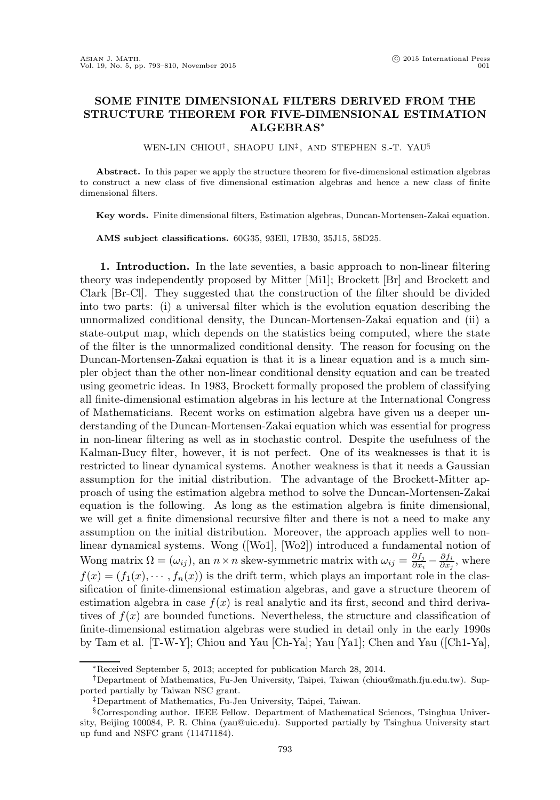## SOME FINITE DIMENSIONAL FILTERS DERIVED FROM THE STRUCTURE THEOREM FOR FIVE-DIMENSIONAL ESTIMATION ALGEBRAS∗

WEN-LIN CHIOU† , SHAOPU LIN‡ , AND STEPHEN S.-T. YAU§

Abstract. In this paper we apply the structure theorem for five-dimensional estimation algebras to construct a new class of five dimensional estimation algebras and hence a new class of finite dimensional filters.

Key words. Finite dimensional filters, Estimation algebras, Duncan-Mortensen-Zakai equation.

AMS subject classifications. 60G35, 93Ell, 17B30, 35J15, 58D25.

1. Introduction. In the late seventies, a basic approach to non-linear filtering theory was independently proposed by Mitter [Mi1]; Brockett [Br] and Brockett and Clark [Br-Cl]. They suggested that the construction of the filter should be divided into two parts: (i) a universal filter which is the evolution equation describing the unnormalized conditional density, the Duncan-Mortensen-Zakai equation and (ii) a state-output map, which depends on the statistics being computed, where the state of the filter is the unnormalized conditional density. The reason for focusing on the Duncan-Mortensen-Zakai equation is that it is a linear equation and is a much simpler object than the other non-linear conditional density equation and can be treated using geometric ideas. In 1983, Brockett formally proposed the problem of classifying all finite-dimensional estimation algebras in his lecture at the International Congress of Mathematicians. Recent works on estimation algebra have given us a deeper understanding of the Duncan-Mortensen-Zakai equation which was essential for progress in non-linear filtering as well as in stochastic control. Despite the usefulness of the Kalman-Bucy filter, however, it is not perfect. One of its weaknesses is that it is restricted to linear dynamical systems. Another weakness is that it needs a Gaussian assumption for the initial distribution. The advantage of the Brockett-Mitter approach of using the estimation algebra method to solve the Duncan-Mortensen-Zakai equation is the following. As long as the estimation algebra is finite dimensional, we will get a finite dimensional recursive filter and there is not a need to make any assumption on the initial distribution. Moreover, the approach applies well to nonlinear dynamical systems. Wong ([Wo1], [Wo2]) introduced a fundamental notion of Wong matrix  $\Omega = (\omega_{ij})$ , an  $n \times n$  skew-symmetric matrix with  $\omega_{ij} = \frac{\partial f_j}{\partial x_i}$  $\frac{\partial f_j}{\partial x_i} - \frac{\partial f_i}{\partial x_j}$ , where  $f(x) = (f_1(x), \dots, f_n(x))$  is the drift term, which plays an important role in the classification of finite-dimensional estimation algebras, and gave a structure theorem of estimation algebra in case  $f(x)$  is real analytic and its first, second and third derivatives of  $f(x)$  are bounded functions. Nevertheless, the structure and classification of finite-dimensional estimation algebras were studied in detail only in the early 1990s by Tam et al. [T-W-Y]; Chiou and Yau [Ch-Ya]; Yau [Ya1]; Chen and Yau ([Ch1-Ya],

<sup>∗</sup>Received September 5, 2013; accepted for publication March 28, 2014.

<sup>†</sup>Department of Mathematics, Fu-Jen University, Taipei, Taiwan (chiou@math.fju.edu.tw). Supported partially by Taiwan NSC grant.

<sup>‡</sup>Department of Mathematics, Fu-Jen University, Taipei, Taiwan.

<sup>§</sup>Corresponding author. IEEE Fellow. Department of Mathematical Sciences, Tsinghua University, Beijing 100084, P. R. China (yau@uic.edu). Supported partially by Tsinghua University start up fund and NSFC grant (11471184).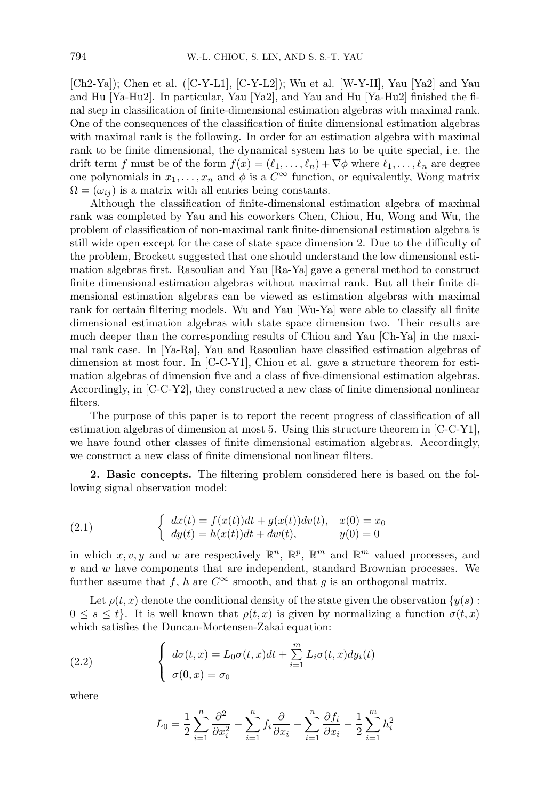[Ch2-Ya]); Chen et al. ([C-Y-L1], [C-Y-L2]); Wu et al. [W-Y-H], Yau [Ya2] and Yau and Hu [Ya-Hu2]. In particular, Yau [Ya2], and Yau and Hu [Ya-Hu2] finished the final step in classification of finite-dimensional estimation algebras with maximal rank. One of the consequences of the classification of finite dimensional estimation algebras with maximal rank is the following. In order for an estimation algebra with maximal rank to be finite dimensional, the dynamical system has to be quite special, i.e. the drift term f must be of the form  $f(x) = (\ell_1, \ldots, \ell_n) + \nabla \phi$  where  $\ell_1, \ldots, \ell_n$  are degree one polynomials in  $x_1, \ldots, x_n$  and  $\phi$  is a  $C^{\infty}$  function, or equivalently, Wong matrix  $\Omega = (\omega_{ij})$  is a matrix with all entries being constants.

Although the classification of finite-dimensional estimation algebra of maximal rank was completed by Yau and his coworkers Chen, Chiou, Hu, Wong and Wu, the problem of classification of non-maximal rank finite-dimensional estimation algebra is still wide open except for the case of state space dimension 2. Due to the difficulty of the problem, Brockett suggested that one should understand the low dimensional estimation algebras first. Rasoulian and Yau [Ra-Ya] gave a general method to construct finite dimensional estimation algebras without maximal rank. But all their finite dimensional estimation algebras can be viewed as estimation algebras with maximal rank for certain filtering models. Wu and Yau [Wu-Ya] were able to classify all finite dimensional estimation algebras with state space dimension two. Their results are much deeper than the corresponding results of Chiou and Yau [Ch-Ya] in the maximal rank case. In [Ya-Ra], Yau and Rasoulian have classified estimation algebras of dimension at most four. In [C-C-Y1], Chiou et al. gave a structure theorem for estimation algebras of dimension five and a class of five-dimensional estimation algebras. Accordingly, in [C-C-Y2], they constructed a new class of finite dimensional nonlinear filters.

The purpose of this paper is to report the recent progress of classification of all estimation algebras of dimension at most 5. Using this structure theorem in [C-C-Y1], we have found other classes of finite dimensional estimation algebras. Accordingly, we construct a new class of finite dimensional nonlinear filters.

2. Basic concepts. The filtering problem considered here is based on the following signal observation model:

(2.1) 
$$
\begin{cases} dx(t) = f(x(t))dt + g(x(t))dv(t), & x(0) = x_0 \\ dy(t) = h(x(t))dt + dw(t), & y(0) = 0 \end{cases}
$$

in which  $x, v, y$  and w are respectively  $\mathbb{R}^n$ ,  $\mathbb{R}^p$ ,  $\mathbb{R}^m$  and  $\mathbb{R}^m$  valued processes, and  $v$  and  $w$  have components that are independent, standard Brownian processes. We further assume that f, h are  $C^{\infty}$  smooth, and that g is an orthogonal matrix.

Let  $\rho(t, x)$  denote the conditional density of the state given the observation  $\{y(s):$  $0 \leq s \leq t$ . It is well known that  $\rho(t, x)$  is given by normalizing a function  $\sigma(t, x)$ which satisfies the Duncan-Mortensen-Zakai equation:

(2.2) 
$$
\begin{cases} d\sigma(t,x) = L_0\sigma(t,x)dt + \sum_{i=1}^m L_i\sigma(t,x)dy_i(t) \\ \sigma(0,x) = \sigma_0 \end{cases}
$$

where

$$
L_0 = \frac{1}{2} \sum_{i=1}^n \frac{\partial^2}{\partial x_i^2} - \sum_{i=1}^n f_i \frac{\partial}{\partial x_i} - \sum_{i=1}^n \frac{\partial f_i}{\partial x_i} - \frac{1}{2} \sum_{i=1}^m h_i^2
$$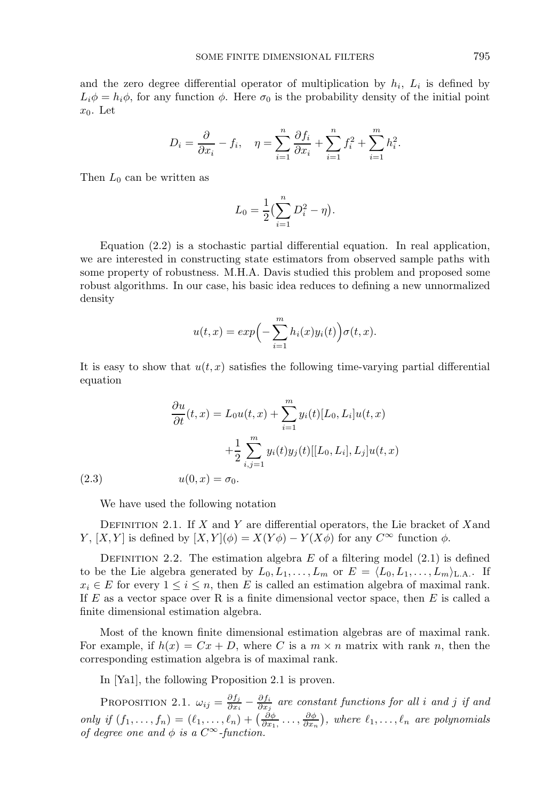and the zero degree differential operator of multiplication by  $h_i$ ,  $L_i$  is defined by  $L_i\phi = h_i\phi$ , for any function  $\phi$ . Here  $\sigma_0$  is the probability density of the initial point  $x_0$ . Let

$$
D_i = \frac{\partial}{\partial x_i} - f_i, \quad \eta = \sum_{i=1}^n \frac{\partial f_i}{\partial x_i} + \sum_{i=1}^n f_i^2 + \sum_{i=1}^m h_i^2.
$$

Then  $L_0$  can be written as

$$
L_0 = \frac{1}{2} \left( \sum_{i=1}^n D_i^2 - \eta \right).
$$

Equation (2.2) is a stochastic partial differential equation. In real application, we are interested in constructing state estimators from observed sample paths with some property of robustness. M.H.A. Davis studied this problem and proposed some robust algorithms. In our case, his basic idea reduces to defining a new unnormalized density

$$
u(t,x) = exp\Big(-\sum_{i=1}^m h_i(x)y_i(t)\Big)\sigma(t,x).
$$

It is easy to show that  $u(t, x)$  satisfies the following time-varying partial differential equation

(2.3) 
$$
\frac{\partial u}{\partial t}(t, x) = L_0 u(t, x) + \sum_{i=1}^m y_i(t) [L_0, L_i] u(t, x) \n+ \frac{1}{2} \sum_{i,j=1}^m y_i(t) y_j(t) [[L_0, L_i], L_j] u(t, x) \nu(0, x) = \sigma_0.
$$

We have used the following notation

DEFINITION 2.1. If  $X$  and  $Y$  are differential operators, the Lie bracket of  $X$  and Y,  $[X, Y]$  is defined by  $[X, Y](\phi) = X(Y\phi) - Y(X\phi)$  for any  $C^{\infty}$  function  $\phi$ .

DEFINITION 2.2. The estimation algebra E of a filtering model  $(2.1)$  is defined to be the Lie algebra generated by  $L_0, L_1, \ldots, L_m$  or  $E = \langle L_0, L_1, \ldots, L_m \rangle_{\text{L.A.}}$ . If  $x_i \in E$  for every  $1 \le i \le n$ , then E is called an estimation algebra of maximal rank. If  $E$  as a vector space over R is a finite dimensional vector space, then  $E$  is called a finite dimensional estimation algebra.

Most of the known finite dimensional estimation algebras are of maximal rank. For example, if  $h(x) = Cx + D$ , where C is a  $m \times n$  matrix with rank n, then the corresponding estimation algebra is of maximal rank.

In [Ya1], the following Proposition 2.1 is proven.

PROPOSITION 2.1.  $\omega_{ij} = \frac{\partial f_j}{\partial x_i}$  $\frac{\partial f_j}{\partial x_i} - \frac{\partial f_i}{\partial x_j}$  are constant functions for all i and j if and only if  $(f_1,\ldots,f_n)=(\ell_1,\ldots,\ell_n)+\left(\frac{\partial\phi}{\partial x_1},\ldots,\frac{\partial\phi}{\partial x_n}\right)$ , where  $\ell_1,\ldots,\ell_n$  are polynomials of degree one and  $\phi$  is a  $C^{\infty}$ -function.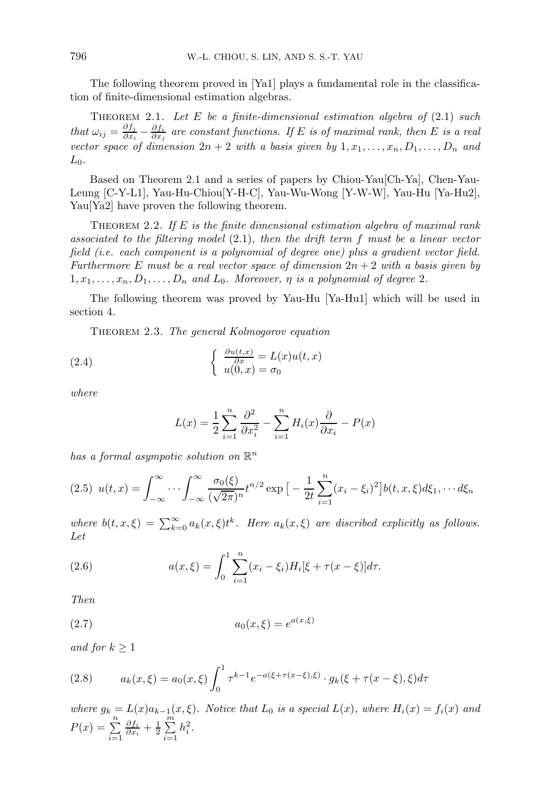The following theorem proved in [Ya1] plays a fundamental role in the classification of finite-dimensional estimation algebras.

THEOREM 2.1. Let  $E$  be a finite-dimensional estimation algebra of  $(2.1)$  such that  $\omega_{ij} = \frac{\partial f_j}{\partial x_i}$  $\frac{\partial f_j}{\partial x_i} - \frac{\partial f_i}{\partial x_j}$  are constant functions. If E is of maximal rank, then E is a real vector space of dimension  $2n + 2$  with a basis given by  $1, x_1, \ldots, x_n, D_1, \ldots, D_n$  and  $L_0$ .

Based on Theorem 2.1 and a series of papers by Chiou-Yau[Ch-Ya], Chen-Yau-Leung [C-Y-L1], Yau-Hu-Chiou[Y-H-C], Yau-Wu-Wong [Y-W-W], Yau-Hu [Ya-Hu2], Yau<sup>[Ya2]</sup> have proven the following theorem.

THEOREM 2.2. If E is the finite dimensional estimation algebra of maximal rank associated to the filtering model (2.1), then the drift term f must be a linear vector field (i.e. each component is a polynomial of degree one) plus a gradient vector field. Furthermore E must be a real vector space of dimension  $2n + 2$  with a basis given by  $1, x_1, \ldots, x_n, D_1, \ldots, D_n$  and  $L_0$ . Moreover,  $\eta$  is a polynomial of degree 2.

The following theorem was proved by Yau-Hu [Ya-Hu1] which will be used in section 4.

Theorem 2.3. The general Kolmogorov equation

(2.4) 
$$
\begin{cases} \frac{\partial u(t,x)}{\partial x} = L(x)u(t,x) \\ u(0,x) = \sigma_0 \end{cases}
$$

where

$$
L(x) = \frac{1}{2} \sum_{i=1}^{n} \frac{\partial^2}{\partial x_i^2} - \sum_{i=1}^{n} H_i(x) \frac{\partial}{\partial x_i} - P(x)
$$

has a formal asympotic solution on  $\mathbb{R}^n$ 

$$
(2.5) \ \ u(t,x) = \int_{-\infty}^{\infty} \cdots \int_{-\infty}^{\infty} \frac{\sigma_0(\xi)}{(\sqrt{2\pi})^n} t^{n/2} \exp\big[-\frac{1}{2t} \sum_{i=1}^n (x_i - \xi_i)^2\big] b(t,x,\xi) d\xi_1, \cdots d\xi_n
$$

where  $b(t, x, \xi) = \sum_{k=0}^{\infty} a_k(x, \xi) t^k$ . Here  $a_k(x, \xi)$  are discribed explicitly as follows. Let

(2.6) 
$$
a(x,\xi) = \int_0^1 \sum_{i=1}^n (x_i - \xi_i) H_i[\xi + \tau(x - \xi)] d\tau.
$$

Then

(2.7) 
$$
a_0(x,\xi) = e^{a(x,\xi)}
$$

and for  $k \geq 1$ 

(2.8) 
$$
a_k(x,\xi) = a_0(x,\xi) \int_0^1 \tau^{k-1} e^{-a(\xi + \tau(x-\xi),\xi)} \cdot g_k(\xi + \tau(x-\xi),\xi) d\tau
$$

where  $g_k = L(x)a_{k-1}(x,\xi)$ . Notice that  $L_0$  is a special  $L(x)$ , where  $H_i(x) = f_i(x)$  and  $P(x) = \sum^{n}$  $i=1$  $\frac{\partial f_i}{\partial x_i} + \frac{1}{2} \sum_{i=1}^m$  $i=1$  $h_i^2$ .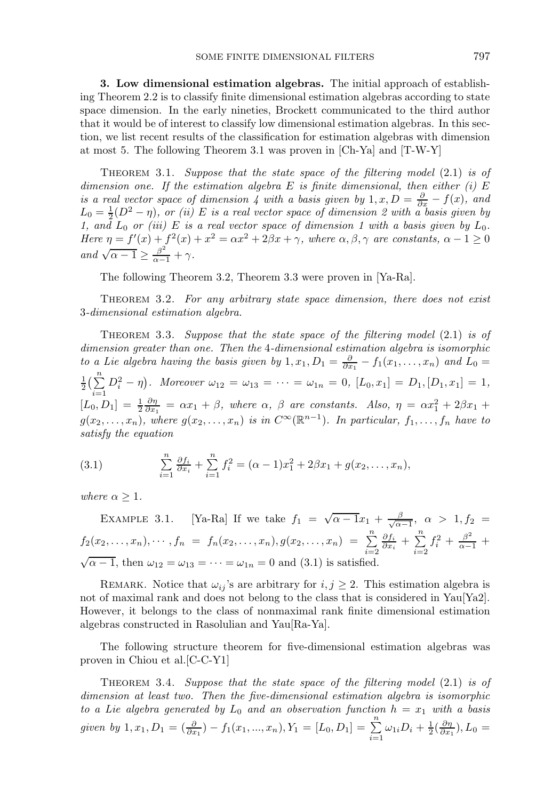3. Low dimensional estimation algebras. The initial approach of establishing Theorem 2.2 is to classify finite dimensional estimation algebras according to state space dimension. In the early nineties, Brockett communicated to the third author that it would be of interest to classify low dimensional estimation algebras. In this section, we list recent results of the classification for estimation algebras with dimension at most 5. The following Theorem 3.1 was proven in [Ch-Ya] and [T-W-Y]

THEOREM 3.1. Suppose that the state space of the filtering model  $(2.1)$  is of dimension one. If the estimation algebra E is finite dimensional, then either  $(i)$  E is a real vector space of dimension 4 with a basis given by  $1, x, D = \frac{\partial}{\partial x} - f(x)$ , and  $L_0 = \frac{1}{2}(D^2 - \eta)$ , or (ii) E is a real vector space of dimension 2 with a basis given by 1, and  $L_0$  or (iii) E is a real vector space of dimension 1 with a basis given by  $L_0$ . Here  $\eta = f'(x) + f^2(x) + x^2 = \alpha x^2 + 2\beta x + \gamma$ , where  $\alpha, \beta, \gamma$  are constants,  $\alpha - 1 \ge 0$ and  $\sqrt{\alpha - 1} \ge \frac{\beta^2}{\alpha - 1} + \gamma$ .

The following Theorem 3.2, Theorem 3.3 were proven in [Ya-Ra].

THEOREM 3.2. For any arbitrary state space dimension, there does not exist 3-dimensional estimation algebra.

THEOREM 3.3. Suppose that the state space of the filtering model  $(2.1)$  is of dimension greater than one. Then the 4-dimensional estimation algebra is isomorphic to a Lie algebra having the basis given by  $1, x_1, D_1 = \frac{\partial}{\partial x_1} - f_1(x_1, \ldots, x_n)$  and  $L_0 =$  $\frac{1}{2}(\sum_{1}^{n}$  $i=1$  $D_i^2 - \eta$ ). Moreover  $\omega_{12} = \omega_{13} = \cdots = \omega_{1n} = 0$ ,  $[L_0, x_1] = D_1$ ,  $[D_1, x_1] = 1$ ,  $[L_0, D_1] = \frac{1}{2} \frac{\partial \eta}{\partial x_1} = \alpha x_1 + \beta$ , where  $\alpha$ ,  $\beta$  are constants. Also,  $\eta = \alpha x_1^2 + 2\beta x_1 + \beta x_2$  $g(x_2,...,x_n)$ , where  $g(x_2,...,x_n)$  is in  $C^{\infty}(\mathbb{R}^{n-1})$ . In particular,  $f_1,...,f_n$  have to satisfy the equation

(3.1) 
$$
\sum_{i=1}^{n} \frac{\partial f_i}{\partial x_i} + \sum_{i=1}^{n} f_i^2 = (\alpha - 1)x_1^2 + 2\beta x_1 + g(x_2, \dots, x_n),
$$

where  $\alpha \geq 1$ .

EXAMPLE 3.1. [Ya-Ra] If we take  $f_1 = \sqrt{\alpha - 1}x_1 + \frac{\beta}{\sqrt{\alpha}}$  $\frac{\beta}{\alpha-1}, \alpha > 1, f_2 =$  $f_2(x_2,...,x_n), \cdots, f_n = f_n(x_2,...,x_n), g(x_2,...,x_n) = \sum_{i=2}^n$  $\frac{\partial f_i}{\partial x_i} + \sum_{i=1}^n$  $i=2$  $f_i^2 + \frac{\beta^2}{\alpha - 1} +$  $\sqrt{\alpha - 1}$ , then  $\omega_{12} = \omega_{13} = \cdots = \omega_{1n} = 0$  and (3.1) is satisfied.

REMARK. Notice that  $\omega_{ij}$ 's are arbitrary for  $i, j \geq 2$ . This estimation algebra is not of maximal rank and does not belong to the class that is considered in Yau[Ya2]. However, it belongs to the class of nonmaximal rank finite dimensional estimation algebras constructed in Rasolulian and Yau[Ra-Ya].

The following structure theorem for five-dimensional estimation algebras was proven in Chiou et al.[C-C-Y1]

THEOREM 3.4. Suppose that the state space of the filtering model  $(2.1)$  is of dimension at least two. Then the five-dimensional estimation algebra is isomorphic to a Lie algebra generated by  $L_0$  and an observation function  $h = x_1$  with a basis given by  $1, x_1, D_1 = \left(\frac{\partial}{\partial x_1}\right) - f_1(x_1, ..., x_n), Y_1 = [L_0, D_1] = \sum_{i=1}^n \omega_{1i} D_i + \frac{1}{2} \left(\frac{\partial n}{\partial x_1}\right), L_0 =$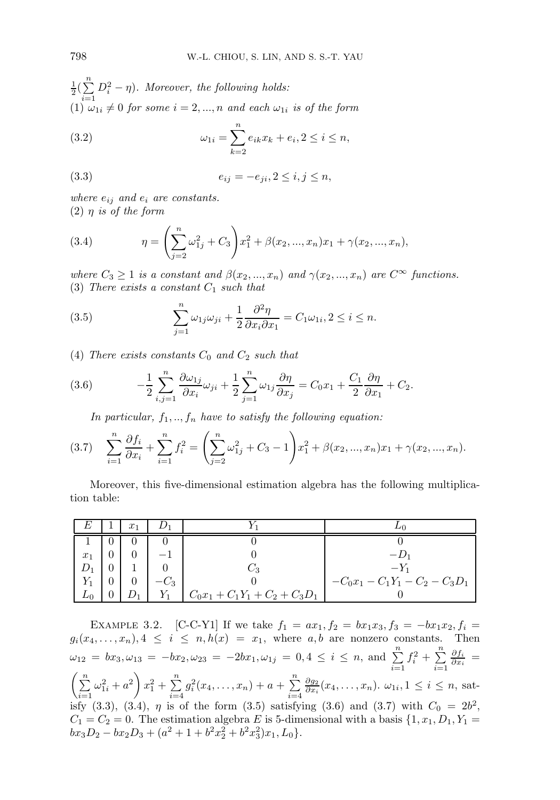$\frac{1}{2}(\sum_{1}^{n}$  $i=1$  $D_i^2 - \eta$ ). Moreover, the following holds: (1)  $\omega_{1i} \neq 0$  for some  $i = 2, ..., n$  and each  $\omega_{1i}$  is of the form

(3.2) 
$$
\omega_{1i} = \sum_{k=2}^{n} e_{ik} x_k + e_i, 2 \le i \le n,
$$

(3.3) 
$$
e_{ij} = -e_{ji}, 2 \le i, j \le n,
$$

where  $e_{ij}$  and  $e_i$  are constants. (2)  $\eta$  is of the form

(3.4) 
$$
\eta = \left(\sum_{j=2}^{n} \omega_{1j}^{2} + C_{3}\right) x_{1}^{2} + \beta(x_{2}, ..., x_{n})x_{1} + \gamma(x_{2}, ..., x_{n}),
$$

where  $C_3 \geq 1$  is a constant and  $\beta(x_2,...,x_n)$  and  $\gamma(x_2,...,x_n)$  are  $C^{\infty}$  functions. (3) There exists a constant  $C_1$  such that

(3.5) 
$$
\sum_{j=1}^{n} \omega_{1j} \omega_{ji} + \frac{1}{2} \frac{\partial^2 \eta}{\partial x_i \partial x_1} = C_1 \omega_{1i}, 2 \le i \le n.
$$

(4) There exists constants  $C_0$  and  $C_2$  such that

(3.6) 
$$
-\frac{1}{2}\sum_{i,j=1}^n \frac{\partial \omega_{1j}}{\partial x_i}\omega_{ji} + \frac{1}{2}\sum_{j=1}^n \omega_{1j}\frac{\partial \eta}{\partial x_j} = C_0x_1 + \frac{C_1}{2}\frac{\partial \eta}{\partial x_1} + C_2.
$$

In particular,  $f_1, ..., f_n$  have to satisfy the following equation:

$$
(3.7) \quad \sum_{i=1}^{n} \frac{\partial f_i}{\partial x_i} + \sum_{i=1}^{n} f_i^2 = \left( \sum_{j=2}^{n} \omega_{1j}^2 + C_3 - 1 \right) x_1^2 + \beta(x_2, ..., x_n) x_1 + \gamma(x_2, ..., x_n).
$$

Moreover, this five-dimensional estimation algebra has the following multiplication table:

|       | $x_1$ |        |                                  |                             |
|-------|-------|--------|----------------------------------|-----------------------------|
|       |       |        |                                  |                             |
| $x_1$ |       |        |                                  | $-I1$                       |
|       |       |        | ່ວ                               | $-Y_1$                      |
|       |       | $-C_3$ |                                  | $-C_0x_1-C_1Y_1-C_2-C_3D_1$ |
|       |       |        | $C_0x_1 + C_1Y_1 + C_2 + C_3D_1$ |                             |

EXAMPLE 3.2. [C-C-Y1] If we take  $f_1 = ax_1, f_2 = bx_1x_3, f_3 = -bx_1x_2, f_i =$  $g_i(x_4, \ldots, x_n), 4 \leq i \leq n, h(x) = x_1$ , where a, b are nonzero constants. Then  $\omega_{12} = bx_3, \omega_{13} = -bx_2, \omega_{23} = -2bx_1, \omega_{1j} = 0, 4 \leq i \leq n$ , and  $\sum_{i=1}^{n}$  $f_i^2 + \sum^n$  $i=1$  $\frac{\partial f_i}{\partial x_i} =$  $\left(\frac{n}{\sum}\right)$  $i=1$  $\omega_{1i}^2 + a^2 \bigg) x_1^2 + \sum_{i=1}^n$  $i=4$  $g_i^2(x_4,...,x_n) + a + \sum_{n=1}^{\infty}$  $i=4$  $\frac{\partial g_2}{\partial x_i}(x_4,\ldots,x_n)$ .  $\omega_{1i}, 1 \leq i \leq n$ , satisfy (3.3), (3.4),  $\eta$  is of the form (3.5) satisfying (3.6) and (3.7) with  $C_0 = 2b^2$ ,  $C_1 = C_2 = 0$ . The estimation algebra E is 5-dimensional with a basis  $\{1, x_1, D_1, Y_1 =$  $bx_3D_2 - bx_2D_3 + (a^2 + 1 + b^2x_2^2 + b^2x_3^2)x_1, L_0$ .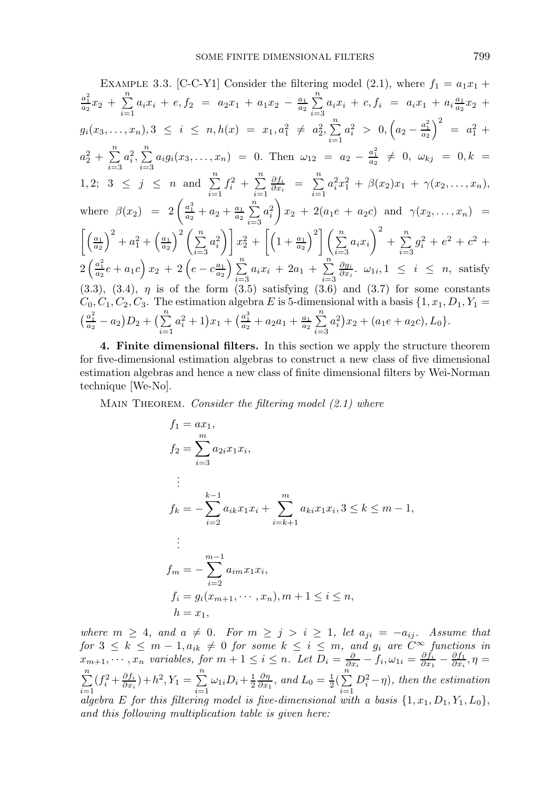EXAMPLE 3.3. [C-C-Y1] Consider the filtering model (2.1), where 
$$
f_1 = a_1x_1 + \frac{a_1^2}{a_2}x_2 + \sum_{i=1}^n a_ix_i + e, f_2 = a_2x_1 + a_1x_2 - \frac{a_1}{a_2} \sum_{i=3}^n a_ix_i + c, f_i = a_ix_1 + a_i\frac{a_1}{a_2}x_2 +
$$
  
\n $g_i(x_3,...,x_n), 3 \leq i \leq n, h(x) = x_1, a_1^2 \neq a_2^2, \sum_{i=1}^n a_i^2 > 0, (a_2 - \frac{a_1^2}{a_2})^2 = a_1^2 +$   
\n $a_2^2 + \sum_{i=3}^n a_i^2, \sum_{i=3}^n a_i g_i(x_3,...,x_n) = 0$ . Then  $\omega_{12} = a_2 - \frac{a_1^2}{a_2} \neq 0, \omega_{kj} = 0, k =$   
\n1,2;  $3 \leq j \leq n$  and  $\sum_{i=1}^n f_i^2 + \sum_{i=1}^n \frac{\partial f_i}{\partial x_i} = \sum_{i=1}^n a_i^2 x_1^2 + \beta(x_2)x_1 + \gamma(x_2,...,x_n),$   
\nwhere  $\beta(x_2) = 2\left(\frac{a_1^3}{a_2} + a_2 + \frac{a_1}{a_2} \sum_{i=3}^n a_i^2\right) x_2 + 2(a_1e + a_2c)$  and  $\gamma(x_2,...,x_n) =$   
\n $\left[\left(\frac{a_1}{a_2}\right)^2 + a_1^2 + \left(\frac{a_1}{a_2}\right)^2 \left(\sum_{i=3}^n a_i^2\right)\right] x_2^2 + \left[\left(1 + \frac{a_1}{a_2}\right)^2 \left(\sum_{i=3}^n a_i x_i\right)^2 + \sum_{i=3}^n g_i^2 + e^2 + c^2 +$   
\n $2\left(\frac{a_1^2}{a_2}e + a_1c\right)x_2 + 2\left(e - c\frac{a_1}{a_2}\right)\sum_{i=3}^n a_i x_i + 2a_1 + \sum_{i=3}^n \frac{\partial g_i}{\partial x_i}.$ 

4. Finite dimensional filters. In this section we apply the structure theorem for five-dimensional estimation algebras to construct a new class of five dimensional estimation algebras and hence a new class of finite dimensional filters by Wei-Norman technique [We-No].

MAIN THEOREM. Consider the filtering model  $(2.1)$  where

$$
f_1 = ax_1,
$$
  
\n
$$
f_2 = \sum_{i=3}^m a_{2i}x_1x_i,
$$
  
\n
$$
\vdots
$$
  
\n
$$
f_k = -\sum_{i=2}^{k-1} a_{ik}x_1x_i + \sum_{i=k+1}^m a_{ki}x_1x_i, 3 \le k \le m-1,
$$
  
\n
$$
\vdots
$$
  
\n
$$
f_m = -\sum_{i=2}^{m-1} a_{im}x_1x_i,
$$
  
\n
$$
f_i = g_i(x_{m+1}, \dots, x_n), m+1 \le i \le n,
$$
  
\n
$$
h = x_1,
$$

where  $m \geq 4$ , and  $a \neq 0$ . For  $m \geq j > i \geq 1$ , let  $a_{ji} = -a_{ij}$ . Assume that for  $3 \leq k \leq m-1, a_{ik} \neq 0$  for some  $k \leq i \leq m$ , and  $g_i$  are  $C^{\infty}$  functions in  $x_{m+1}, \dots, x_n$  variables, for  $m+1 \leq i \leq n$ . Let  $D_i = \frac{\partial}{\partial x_i} - f_i$ ,  $\omega_{1i} = \frac{\partial f_i}{\partial x_1} - \frac{\partial f_1}{\partial x_i}$ ,  $\eta =$  $\sum_{i=1}^{n}$  $i=1$  $(f_i^2 + \frac{\partial f_i}{\partial x_i}) + h^2, Y_1 = \sum_{i=1}^n$  $\sum_{i=1}^{n} \omega_{1i} D_i + \frac{1}{2} \frac{\partial \eta}{\partial x_1}$ , and  $L_0 = \frac{1}{2} (\sum_{i=1}^{n}$  $i=1$  $D_i^2 - \eta$ , then the estimation algebra E for this filtering model is five-dimensional with a basis  $\{1, x_1, D_1, Y_1, L_0\}$ , and this following multiplication table is given here: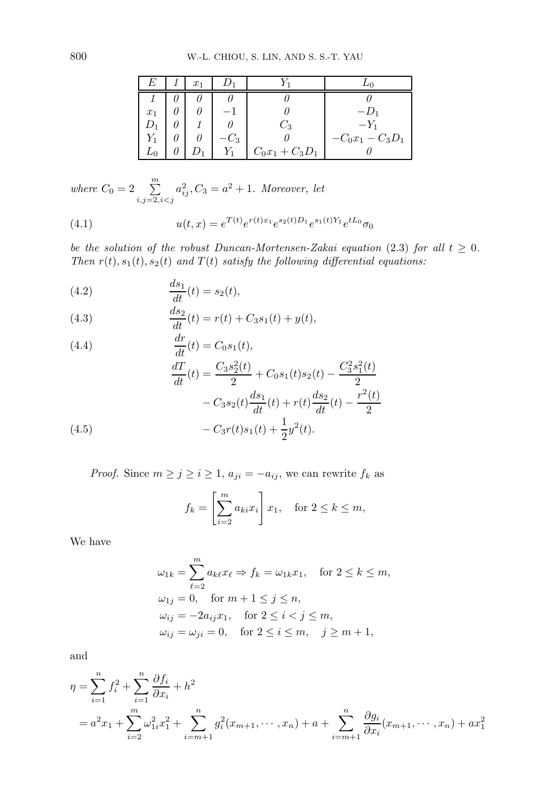| F.    | $x_1$ |        |                   |                  |
|-------|-------|--------|-------------------|------------------|
|       |       |        |                   |                  |
| $x_1$ |       |        |                   | $-1)_{1}$        |
|       |       |        | $\frac{1}{2}$     | $-Y_1$           |
|       |       | $-C_3$ |                   | $-C_0x_1-C_3D_1$ |
|       |       |        | $C_0x_1 + C_3D_1$ |                  |

where  $C_0 = 2 \sum_{i,j=2, i < j}^{m}$  $a_{ij}^2, C_3 = a^2 + 1.$  Moreover, let

(4.1) 
$$
u(t,x) = e^{T(t)}e^{r(t)x_1}e^{s_2(t)D_1}e^{s_1(t)Y_1}e^{tL_0}\sigma_0
$$

be the solution of the robust Duncan-Mortensen-Zakai equation (2.3) for all  $t \geq 0$ . Then  $r(t)$ ,  $s_1(t)$ ,  $s_2(t)$  and  $T(t)$  satisfy the following differential equations:

(4.2) 
$$
\frac{ds_1}{dt}(t) = s_2(t),
$$

(4.3) 
$$
\frac{ds_2}{dt}(t) = r(t) + C_3 s_1(t) + y(t),
$$

(4.4)  
\n
$$
\frac{dr}{dt}(t) = C_0 s_1(t),
$$
\n
$$
\frac{dT}{dt}(t) = \frac{C_3 s_2^2(t)}{2} + C_0 s_1(t) s_2(t) - \frac{C_3^2 s_1^2(t)}{2}
$$
\n
$$
- C_3 s_2(t) \frac{ds_1}{dt}(t) + r(t) \frac{ds_2}{dt}(t) - \frac{r^2(t)}{2}
$$
\n(4.5)  
\n
$$
- C_3 r(t) s_1(t) + \frac{1}{2} y^2(t).
$$

*Proof.* Since  $m \ge j \ge i \ge 1$ ,  $a_{ji} = -a_{ij}$ , we can rewrite  $f_k$  as

$$
f_k = \left[\sum_{i=2}^m a_{ki} x_i\right] x_1, \quad \text{for } 2 \le k \le m,
$$

We have

$$
\omega_{1k} = \sum_{\ell=2}^{m} a_{k\ell} x_{\ell} \Rightarrow f_k = \omega_{1k} x_1, \quad \text{for } 2 \le k \le m,
$$
  
\n
$$
\omega_{1j} = 0, \quad \text{for } m+1 \le j \le n,
$$
  
\n
$$
\omega_{ij} = -2a_{ij} x_1, \quad \text{for } 2 \le i < j \le m,
$$
  
\n
$$
\omega_{ij} = \omega_{ji} = 0, \quad \text{for } 2 \le i \le m, \quad j \ge m+1,
$$

and

$$
\eta = \sum_{i=1}^{n} f_i^2 + \sum_{i=1}^{n} \frac{\partial f_i}{\partial x_i} + h^2
$$
  
=  $a^2 x_1 + \sum_{i=2}^{n} \omega_{1i}^2 x_1^2 + \sum_{i=m+1}^{n} g_i^2 (x_{m+1}, \dots, x_n) + a + \sum_{i=m+1}^{n} \frac{\partial g_i}{\partial x_i} (x_{m+1}, \dots, x_n) + a x_1^2$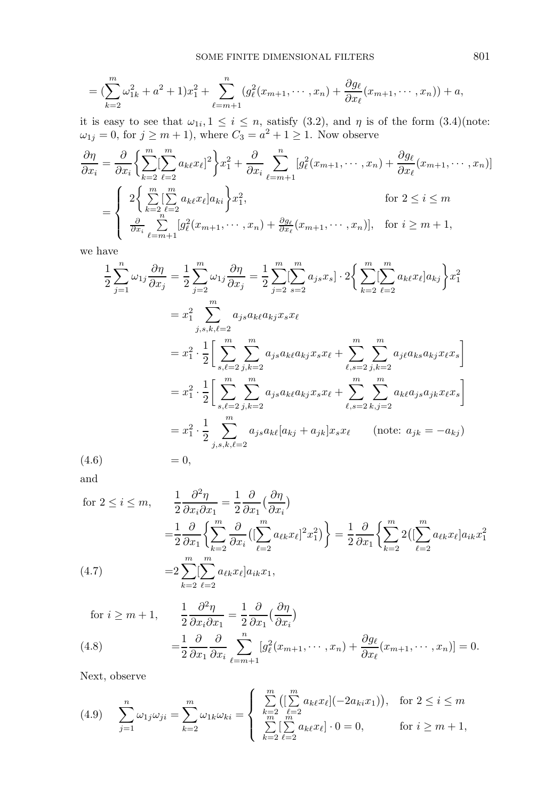$$
= \left(\sum_{k=2}^m \omega_{1k}^2 + a^2 + 1\right)x_1^2 + \sum_{\ell=m+1}^n \left(g_\ell^2(x_{m+1}, \dots, x_n) + \frac{\partial g_\ell}{\partial x_\ell}(x_{m+1}, \dots, x_n)\right) + a,
$$

it is easy to see that  $\omega_{1i}, 1 \leq i \leq n$ , satisfy (3.2), and  $\eta$  is of the form (3.4)(note:  $\omega_{1j} = 0$ , for  $j \ge m + 1$ , where  $C_3 = a^2 + 1 \ge 1$ . Now observe

$$
\frac{\partial \eta}{\partial x_i} = \frac{\partial}{\partial x_i} \left\{ \sum_{k=2}^m \left[ \sum_{\ell=2}^m a_{k\ell} x_\ell \right]^2 \right\} x_1^2 + \frac{\partial}{\partial x_i} \sum_{\ell=m+1}^n \left[ g_\ell^2(x_{m+1}, \dots, x_n) + \frac{\partial g_\ell}{\partial x_\ell}(x_{m+1}, \dots, x_n) \right]
$$
\n
$$
= \begin{cases} 2 \left\{ \sum_{k=2}^m \left[ \sum_{\ell=2}^m a_{k\ell} x_\ell \right] a_{ki} \right\} x_1^2, & \text{for } 2 \le i \le m \\ \frac{\partial}{\partial x_i} \sum_{\ell=m+1}^m \left[ g_\ell^2(x_{m+1}, \dots, x_n) + \frac{\partial g_\ell}{\partial x_\ell}(x_{m+1}, \dots, x_n) \right], & \text{for } i \ge m+1, \end{cases}
$$

we have

$$
\frac{1}{2} \sum_{j=1}^{n} \omega_{1j} \frac{\partial \eta}{\partial x_{j}} = \frac{1}{2} \sum_{j=2}^{m} \omega_{1j} \frac{\partial \eta}{\partial x_{j}} = \frac{1}{2} \sum_{j=2}^{m} \sum_{s=2}^{m} [ \sum_{s=2}^{m} a_{js} x_{s}] \cdot 2 \Big\{ \sum_{k=2}^{m} \sum_{\ell=2}^{m} a_{k\ell} x_{\ell} | a_{kj} \Big\} x_{1}^{2}
$$
\n
$$
= x_{1}^{2} \sum_{j,s,k,\ell=2}^{m} a_{js} a_{k\ell} a_{kj} x_{s} x_{\ell}
$$
\n
$$
= x_{1}^{2} \cdot \frac{1}{2} \Bigg[ \sum_{s,\ell=2}^{m} \sum_{j,k=2}^{m} a_{js} a_{k\ell} a_{kj} x_{s} x_{\ell} + \sum_{\ell,s=2}^{m} \sum_{j,k=2}^{m} a_{j\ell} a_{ks} a_{kj} x_{\ell} x_{s} \Bigg]
$$
\n
$$
= x_{1}^{2} \cdot \frac{1}{2} \Bigg[ \sum_{s,\ell=2}^{m} \sum_{j,k=2}^{m} a_{js} a_{k\ell} a_{kj} x_{s} x_{\ell} + \sum_{\ell,s=2}^{m} \sum_{k,j=2}^{m} a_{k\ell} a_{js} a_{jk} x_{\ell} x_{s} \Bigg]
$$
\n
$$
= x_{1}^{2} \cdot \frac{1}{2} \sum_{j,s,k,\ell=2}^{m} a_{js} a_{k\ell} [a_{kj} + a_{jk}] x_{s} x_{\ell} \qquad \text{(note: } a_{jk} = -a_{kj} \text{)}
$$
\n
$$
(4.6) \qquad = 0,
$$

$$
(4.6)
$$

and

$$
\begin{aligned}\n\text{for } 2 \leq i \leq m, \qquad & \frac{1}{2} \frac{\partial^2 \eta}{\partial x_i \partial x_1} = \frac{1}{2} \frac{\partial}{\partial x_1} \left( \frac{\partial \eta}{\partial x_i} \right) \\
& = & \frac{1}{2} \frac{\partial}{\partial x_1} \left\{ \sum_{k=2}^m \frac{\partial}{\partial x_i} \left( \left[ \sum_{\ell=2}^m a_{\ell k} x_\ell \right]^2 x_1^2 \right) \right\} = \frac{1}{2} \frac{\partial}{\partial x_1} \left\{ \sum_{k=2}^m 2 \left( \left[ \sum_{\ell=2}^m a_{\ell k} x_\ell \right] a_{ik} x_1^2 \right. \\
& \left. (4.7) \qquad \qquad = & 2 \sum_{k=2}^m \left[ \sum_{\ell=2}^m a_{\ell k} x_\ell \right] a_{ik} x_1,\n\end{aligned}
$$

$$
\text{for } i \geq m+1, \qquad \frac{1}{2} \frac{\partial^2 \eta}{\partial x_i \partial x_1} = \frac{1}{2} \frac{\partial}{\partial x_1} \left( \frac{\partial \eta}{\partial x_i} \right)
$$

(4.8) 
$$
= \frac{1}{2} \frac{\partial}{\partial x_1} \frac{\partial}{\partial x_i} \sum_{\ell=m+1}^n [g_\ell^2(x_{m+1}, \dots, x_n) + \frac{\partial g_\ell}{\partial x_\ell}(x_{m+1}, \dots, x_n)] = 0.
$$

Next, observe

$$
(4.9) \quad \sum_{j=1}^{n} \omega_{1j} \omega_{ji} = \sum_{k=2}^{m} \omega_{1k} \omega_{ki} = \begin{cases} \sum_{k=2}^{m} \left( \left[ \sum_{k=2}^{m} a_{k\ell} x_{\ell} \right] (-2a_{ki} x_{1}) \right), & \text{for } 2 \le i \le m \\ \sum_{k=2}^{m} \left[ \sum_{\ell=2}^{m} a_{k\ell} x_{\ell} \right] \cdot 0 = 0, & \text{for } i \ge m+1, \end{cases}
$$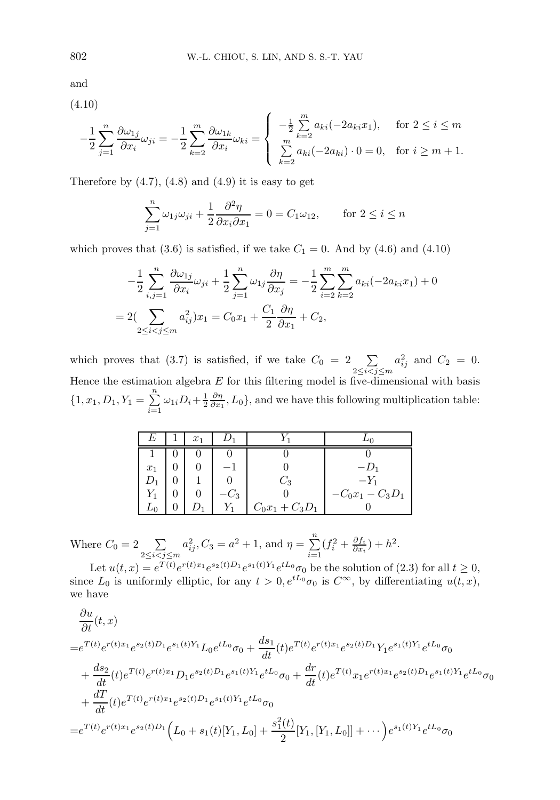and

(4.10)

$$
-\frac{1}{2}\sum_{j=1}^{n}\frac{\partial\omega_{1j}}{\partial x_i}\omega_{ji} = -\frac{1}{2}\sum_{k=2}^{m}\frac{\partial\omega_{1k}}{\partial x_i}\omega_{ki} = \begin{cases} -\frac{1}{2}\sum_{k=2}^{m}a_{ki}(-2a_{ki}x_1), & \text{for } 2 \le i \le m\\ \sum_{k=2}^{m}a_{ki}(-2a_{ki})\cdot 0 = 0, & \text{for } i \ge m+1. \end{cases}
$$

Therefore by  $(4.7)$ ,  $(4.8)$  and  $(4.9)$  it is easy to get

$$
\sum_{j=1}^{n} \omega_{1j} \omega_{ji} + \frac{1}{2} \frac{\partial^2 \eta}{\partial x_i \partial x_1} = 0 = C_1 \omega_{12}, \quad \text{for } 2 \le i \le n
$$

which proves that (3.6) is satisfied, if we take  $C_1 = 0$ . And by (4.6) and (4.10)

$$
-\frac{1}{2}\sum_{i,j=1}^{n} \frac{\partial \omega_{1j}}{\partial x_i} \omega_{ji} + \frac{1}{2}\sum_{j=1}^{n} \omega_{1j} \frac{\partial \eta}{\partial x_j} = -\frac{1}{2}\sum_{i=2}^{m} \sum_{k=2}^{m} a_{ki} (-2a_{ki}x_1) + 0
$$
  
= 2(\sum\_{2 \le i < j \le m} a\_{ij}^2) x\_1 = C\_0 x\_1 + \frac{C\_1}{2} \frac{\partial \eta}{\partial x\_1} + C\_2,

which proves that (3.7) is satisfied, if we take  $C_0 = 2 \sum_{i=1}^{n}$ 2≤i<j≤m  $a_{ij}^2$  and  $C_2 = 0$ . Hence the estimation algebra  $E$  for this filtering model is five-dimensional with basis  $\{1, x_1, D_1, Y_1 = \sum_{i=1}^n$  $\sum_{i=1}^{n} \omega_{1i} D_i + \frac{1}{2} \frac{\partial \eta}{\partial x_1}, L_0$ , and we have this following multiplication table:

| H,    | $x_1$ |        |                   |                     |
|-------|-------|--------|-------------------|---------------------|
|       |       |        |                   |                     |
| $x_1$ |       |        |                   | $-1$ ) <sub>1</sub> |
|       |       |        | $\mathcal{L}_{2}$ | $-Y_1$              |
| $Y_1$ |       | $-C_3$ |                   | $-C_0x_1-C_3D_1$    |
|       |       |        | $C_0x_1 + C_3D_1$ |                     |

Where  $C_0 = 2 \quad \sum$  $2 \leq i < j \leq m$  $a_{ij}^2, C_3 = a^2 + 1$ , and  $\eta = \sum_{i=1}^{n}$  $i=1$  $(f_i^2 + \frac{\partial f_i}{\partial x_i}) + h^2.$ 

Let  $u(t,x) = e^{T(t)} e^{r(t)x_1} e^{s_2(t)D_1} e^{s_1(t)Y_1} e^{tL_0} \sigma_0$  be the solution of (2.3) for all  $t \ge 0$ , since  $L_0$  is uniformly elliptic, for any  $t > 0, e^{tL_0}\sigma_0$  is  $C^{\infty}$ , by differentiating  $u(t, x)$ , we have

$$
\frac{\partial u}{\partial t}(t,x) \n= e^{T(t)}e^{r(t)x_1}e^{s_2(t)D_1}e^{s_1(t)Y_1}L_0e^{tL_0}\sigma_0 + \frac{ds_1}{dt}(t)e^{T(t)}e^{r(t)x_1}e^{s_2(t)D_1}Y_1e^{s_1(t)Y_1}e^{tL_0}\sigma_0 \n+ \frac{ds_2}{dt}(t)e^{T(t)}e^{r(t)x_1}D_1e^{s_2(t)D_1}e^{s_1(t)Y_1}e^{tL_0}\sigma_0 + \frac{dr}{dt}(t)e^{T(t)}x_1e^{r(t)x_1}e^{s_2(t)D_1}e^{s_1(t)Y_1}e^{tL_0}\sigma_0 \n+ \frac{dT}{dt}(t)e^{T(t)}e^{r(t)x_1}e^{s_2(t)D_1}e^{s_1(t)Y_1}e^{tL_0}\sigma_0 \n= e^{T(t)}e^{r(t)x_1}e^{s_2(t)D_1}\left(L_0 + s_1(t)[Y_1, L_0] + \frac{s_1^2(t)}{2}[Y_1, [Y_1, L_0]] + \cdots\right)e^{s_1(t)Y_1}e^{tL_0}\sigma_0
$$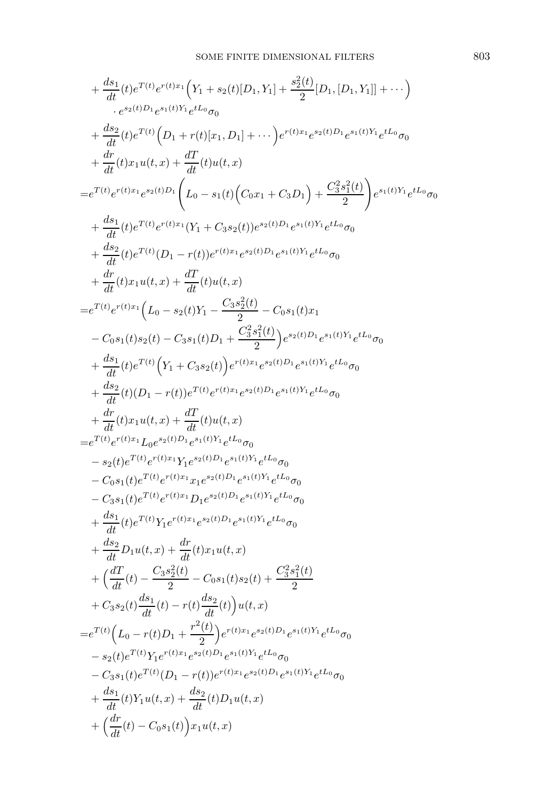$$
+\frac{ds_{1}}{dt}(t)e^{T(t)}e^{r(t)x_{1}}(Y_{1}+s_{2}(t)[D_{1},Y_{1}]+\frac{s_{2}^{2}(t)}{2}[D_{1},[D_{1},Y_{1}]]+\cdots )\\ +\frac{ds_{2}}{dt}(t)e^{T(t)}(D_{1}+r(t)[x_{1},D_{1}]+\cdots)e^{r(t)x_{1}}e^{s_{2}(t)D_{1}}e^{s_{1}(t)Y_{1}}e^{tL_{0}}\sigma_{0}\\ +\frac{dr}{dt}(t)x_{1}u(t,x)+\frac{dT}{dt}(t)u(t,x)\\ =e^{T(t)}e^{r(t)x_{1}}e^{s_{2}(t)D_{1}}\bigg(L_{0}-s_{1}(t)\big(C_{0}x_{1}+C_{3}D_{1}\big)+\frac{C_{3}^{2}s_{1}^{2}(t)}{2}\bigg)e^{s_{1}(t)Y_{1}}e^{tL_{0}}\sigma_{0}\\ +\frac{ds_{1}}{dt}(t)e^{T(t)}e^{r(t)x_{1}}(Y_{1}+C_{3}s_{2}(t))e^{s_{2}(t)D_{1}}e^{s_{1}(t)Y_{1}}e^{tL_{0}}\sigma_{0}\\ +\frac{ds_{2}}{dt}(t)e^{T(t)}(D_{1}-r(t))e^{r(t)x_{1}}e^{s_{2}(t)D_{1}}e^{s_{1}(t)Y_{1}}e^{tL_{0}}\sigma_{0}\\ +\frac{dr}{dt}(t)x_{1}u(t,x)+\frac{dT}{dt}(t)u(t,x)\\ =e^{T(t)}e^{r(t)x_{1}}\bigg(L_{0}-s_{2}(t)Y_{1}-\frac{C_{3}s_{2}^{2}(t)}{2}\bigg)-C_{0}s_{1}(t)x_{1}\\ -C_{0}s_{1}(t)s_{2}(t)-C_{3}s_{1}(t)D_{1}+\frac{C_{3}^{2}s_{1}^{2}(t)}{2}\bigg)e^{s_{2}(t)D_{1}}e^{s_{1}(t)Y_{1}}e^{tL_{0}}\sigma_{0}\\ +\frac{ds_{1}}{dt}(t)e^{T(t)}\bigg(Y_{1}+C_{3}s_{2}(t)\bigg)e^{r(t)x_{1}}e^{s_{2}(t)D_{1}}e^{s_{1}(t)Y_{1}}e^{tL_{0}}\sigma_{0}\\ +\frac{ds_{2}}{dt}(t)(D_{1}-r(t))e^{T(t)}e^{r(t)x_{1}}e^{s_{2}(t)D_{1}}e^{s_{1}(t)Y_{1}}
$$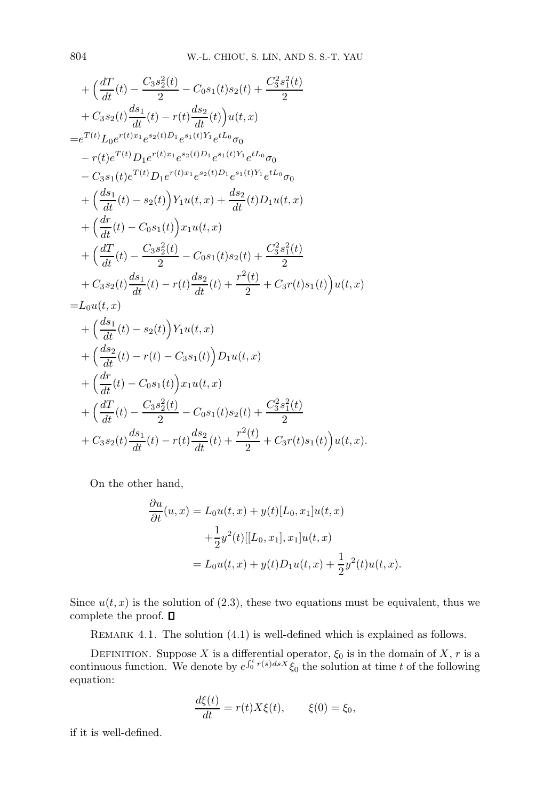+ 
$$
\left(\frac{dT}{dt}(t) - \frac{C_3 s_2^2(t)}{2} - C_0 s_1(t) s_2(t) + \frac{C_3^2 s_1^2(t)}{2} + C_3 s_2(t) \frac{ds_1}{dt}(t) - r(t) \frac{ds_2}{dt}(t) \right) u(t, x)
$$
  
\n=  $e^{T(t)} L_0 e^{r(t)x_1} e^{s_2(t)D_1} e^{s_1(t)Y_1} e^{tL_0} \sigma_0$   
\n-  $r(t) e^{T(t)} D_1 e^{r(t)x_1} e^{s_2(t)D_1} e^{s_1(t)Y_1} e^{tL_0} \sigma_0$   
\n-  $C_3 s_1(t) e^{T(t)} D_1 e^{r(t)x_1} e^{s_2(t)D_1} e^{s_1(t)Y_1} e^{tL_0} \sigma_0$   
\n+  $\left(\frac{ds_1}{dt}(t) - s_2(t) \right) Y_1 u(t, x) + \frac{ds_2}{dt}(t) D_1 u(t, x)$   
\n+  $\left(\frac{dr}{dt}(t) - C_0 s_1(t) \right) x_1 u(t, x)$   
\n+  $\left(\frac{dT}{dt}(t) - \frac{C_3 s_2^2(t)}{2} - C_0 s_1(t) s_2(t) + \frac{C_3^2 s_1^2(t)}{2} + C_3 r(t) s_1(t) \right) u(t, x)$   
\n=  $L_0 u(t, x)$   
\n+  $\left(\frac{ds_1}{dt}(t) - s_2(t) \right) Y_1 u(t, x)$   
\n+  $\left(\frac{ds_1}{dt}(t) - s_2(t) \right) Y_1 u(t, x)$   
\n+  $\left(\frac{ds_2}{dt}(t) - r(t) - C_3 s_1(t) \right) D_1 u(t, x)$   
\n+  $\left(\frac{dr}{dt}(t) - C_0 s_1(t) \right) x_1 u(t, x)$   
\n+  $\left(\frac{dr}{dt}(t) - \frac{C_3 s_2^2(t)}{2} - C_0 s_1(t) s_2(t) + \frac{C_3^2 s_1^2(t)}{2} + C_3 s_2(t) \frac{ds_1}{dt}(t) - r(t) \frac{ds_2}{dt}(t) + \frac{r^2$ 

On the other hand,

$$
\frac{\partial u}{\partial t}(u, x) = L_0 u(t, x) + y(t)[L_0, x_1]u(t, x) \n+ \frac{1}{2}y^2(t)[[L_0, x_1], x_1]u(t, x) \n= L_0 u(t, x) + y(t)D_1 u(t, x) + \frac{1}{2}y^2(t)u(t, x).
$$

Since  $u(t, x)$  is the solution of (2.3), these two equations must be equivalent, thus we complete the proof.  $\blacksquare$ 

REMARK 4.1. The solution  $(4.1)$  is well-defined which is explained as follows.

DEFINITION. Suppose X is a differential operator,  $\xi_0$  is in the domain of X, r is a continuous function. We denote by  $e^{\int_0^t r(s)dsX}\hat{\xi}_0$  the solution at time t of the following equation:

$$
\frac{d\xi(t)}{dt} = r(t)X\xi(t), \qquad \xi(0) = \xi_0,
$$

if it is well-defined.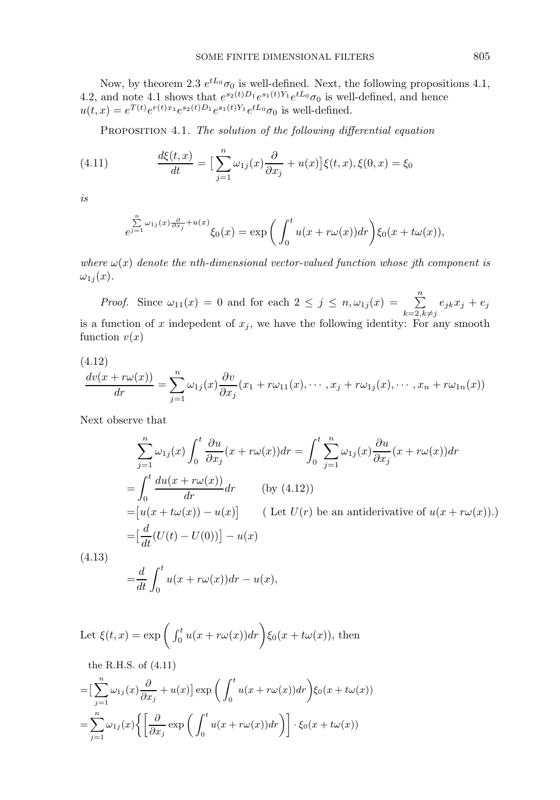Now, by theorem 2.3  $e^{tL_0}\sigma_0$  is well-defined. Next, the following propositions 4.1, 4.2, and note 4.1 shows that  $e^{s_2(t)D_1}e^{s_1(t)Y_1}e^{tL_0}\sigma_0$  is well-defined, and hence  $u(t,x) = e^{T(t)} e^{r(t)x_1} e^{s_2(t)D_1} e^{s_1(t)Y_1} e^{tL_0} \sigma_0$  is well-defined.

PROPOSITION 4.1. The solution of the following differential equation

(4.11) 
$$
\frac{d\xi(t,x)}{dt} = \left[\sum_{j=1}^{n} \omega_{1j}(x) \frac{\partial}{\partial x_j} + u(x)\right] \xi(t,x), \xi(0,x) = \xi_0
$$

is

$$
\sum_{e^{j=1}}^{n} \omega_{1j}(x) \frac{\partial}{\partial x_j} + u(x) \zeta_0(x) = \exp\bigg(\int_0^t u(x + r\omega(x)) dr\bigg) \xi_0(x + t\omega(x)),
$$

where  $\omega(x)$  denote the nth-dimensional vector-valued function whose jth component is  $\omega_{1j}(x)$ .

*Proof.* Since  $\omega_{11}(x) = 0$  and for each  $2 \leq j \leq n, \omega_{1j}(x) = \sum_{k=2, k \neq j}^{n}$  $e_{jk}x_j + e_j$ is a function of x indepedent of  $x_j$ , we have the following identity: For any smooth function  $v(x)$ 

$$
\frac{dv(x+r\omega(x))}{dr} = \sum_{j=1}^n \omega_{1j}(x) \frac{\partial v}{\partial x_j}(x_1+r\omega_{11}(x),\cdots,x_j+r\omega_{1j}(x),\cdots,x_n+r\omega_{1n}(x))
$$

Next observe that

$$
\sum_{j=1}^{n} \omega_{1j}(x) \int_{0}^{t} \frac{\partial u}{\partial x_{j}}(x + r\omega(x)) dr = \int_{0}^{t} \sum_{j=1}^{n} \omega_{1j}(x) \frac{\partial u}{\partial x_{j}}(x + r\omega(x)) dr
$$
  
\n
$$
= \int_{0}^{t} \frac{du(x + r\omega(x))}{dr} dr \qquad \text{(by (4.12))}
$$
  
\n
$$
= [u(x + t\omega(x)) - u(x)] \qquad \text{(Let } U(r) \text{ be an antiderivative of } u(x + r\omega(x)).)
$$
  
\n
$$
= [\frac{d}{dt}(U(t) - U(0))] - u(x)
$$
  
\n.13)

 $(4)$ 

$$
=\frac{d}{dt}\int_0^t u(x+r\omega(x))dr - u(x),
$$

Let 
$$
\xi(t, x) = \exp\left(\int_0^t u(x + r\omega(x)) dr\right) \xi_0(x + t\omega(x))
$$
, then  
the R.H.S. of (4.11)  

$$
= \left[\sum_{n=0}^n \omega_{1i}(x) \frac{\partial}{\partial x} + u(x)\right] \exp\left(\int_0^t u(x + r\omega(x)) dr\right) \xi_0(x + t\omega(x))
$$

$$
= \Big[\sum_{j=1}^{n} \omega_{1j}(x) \frac{\partial}{\partial x_j} + u(x) \Big] \exp\bigg(\int_0^t u(x + r\omega(x)) dr\bigg) \xi_0(x + t\omega(x))
$$
  

$$
= \sum_{j=1}^{n} \omega_{1j}(x) \Big\{ \Big[\frac{\partial}{\partial x_j} \exp\bigg(\int_0^t u(x + r\omega(x)) dr\bigg) \Big] \cdot \xi_0(x + t\omega(x))
$$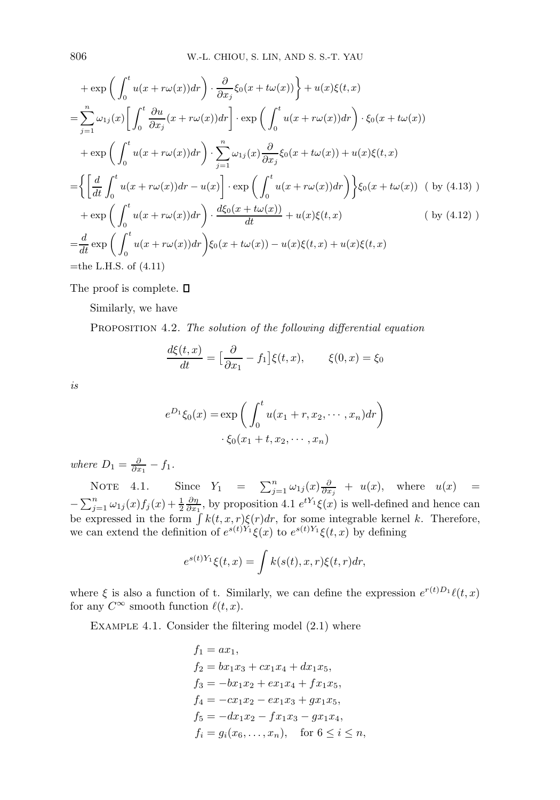$$
+\exp\left(\int_{0}^{t} u(x+r\omega(x))dr\right) \cdot \frac{\partial}{\partial x_{j}}\xi_{0}(x+t\omega(x))\Big\} + u(x)\xi(t,x)
$$
\n
$$
=\sum_{j=1}^{n} \omega_{1j}(x)\Big[\int_{0}^{t} \frac{\partial u}{\partial x_{j}}(x+r\omega(x))dr\Big]\cdot \exp\left(\int_{0}^{t} u(x+r\omega(x))dr\right) \cdot \xi_{0}(x+t\omega(x))
$$
\n
$$
+\exp\left(\int_{0}^{t} u(x+r\omega(x))dr\right) \cdot \sum_{j=1}^{n} \omega_{1j}(x)\frac{\partial}{\partial x_{j}}\xi_{0}(x+t\omega(x)) + u(x)\xi(t,x)
$$
\n
$$
=\Big\{\Big[\frac{d}{dt}\int_{0}^{t} u(x+r\omega(x))dr - u(x)\Big]\cdot \exp\Big(\int_{0}^{t} u(x+r\omega(x))dr\Big)\Big\}\xi_{0}(x+t\omega(x)) \quad (\text{ by (4.13) })
$$
\n
$$
+\exp\Big(\int_{0}^{t} u(x+r\omega(x))dr\Big) \cdot \frac{d\xi_{0}(x+t\omega(x))}{dt} + u(x)\xi(t,x) \qquad (\text{ by (4.12) })
$$
\n
$$
=\frac{d}{dt}\exp\Big(\int_{0}^{t} u(x+r\omega(x))dr\Big)\xi_{0}(x+t\omega(x)) - u(x)\xi(t,x) + u(x)\xi(t,x)
$$
\n
$$
= \text{the L.H.S. of (4.11)}
$$

The proof is complete.  $\square$ 

Similarly, we have

PROPOSITION 4.2. The solution of the following differential equation

$$
\frac{d\xi(t,x)}{dt} = \left[\frac{\partial}{\partial x_1} - f_1\right] \xi(t,x), \qquad \xi(0,x) = \xi_0
$$

is

$$
e^{D_1}\xi_0(x) = \exp\left(\int_0^t u(x_1+r, x_2, \cdots, x_n) dr\right)
$$

$$
\cdot \xi_0(x_1+t, x_2, \cdots, x_n)
$$

where  $D_1 = \frac{\partial}{\partial x_1} - f_1$ .

NOTE 4.1. Since  $Y_1 = \sum_{j=1}^n \omega_{1j}(x) \frac{\partial}{\partial x_j} + u(x)$ , where  $u(x) =$  $-\sum_{j=1}^n \omega_{1j}(x) f_j(x) + \frac{1}{2} \frac{\partial \eta}{\partial x_1}$ , by proposition 4.1  $e^{tY_1} \xi(x)$  is well-defined and hence can be expressed in the form  $\int k(t, x, r) \xi(r) dr$ , for some integrable kernel k. Therefore, we can extend the definition of  $e^{s(t)Y_1}\xi(x)$  to  $e^{s(t)Y_1}\xi(t,x)$  by defining

$$
e^{s(t)Y_1}\xi(t,x) = \int k(s(t),x,r)\xi(t,r)dr,
$$

where  $\xi$  is also a function of t. Similarly, we can define the expression  $e^{r(t)D_1}\ell(t,x)$ for any  $C^{\infty}$  smooth function  $\ell(t, x)$ .

Example 4.1. Consider the filtering model (2.1) where

$$
f_1 = ax_1,
$$
  
\n
$$
f_2 = bx_1x_3 + cx_1x_4 + dx_1x_5,
$$
  
\n
$$
f_3 = -bx_1x_2 + ex_1x_4 + fx_1x_5,
$$
  
\n
$$
f_4 = -cx_1x_2 - ex_1x_3 + gx_1x_5,
$$
  
\n
$$
f_5 = -dx_1x_2 - fx_1x_3 - gx_1x_4,
$$
  
\n
$$
f_i = g_i(x_6, ..., x_n), \text{ for } 6 \le i \le n,
$$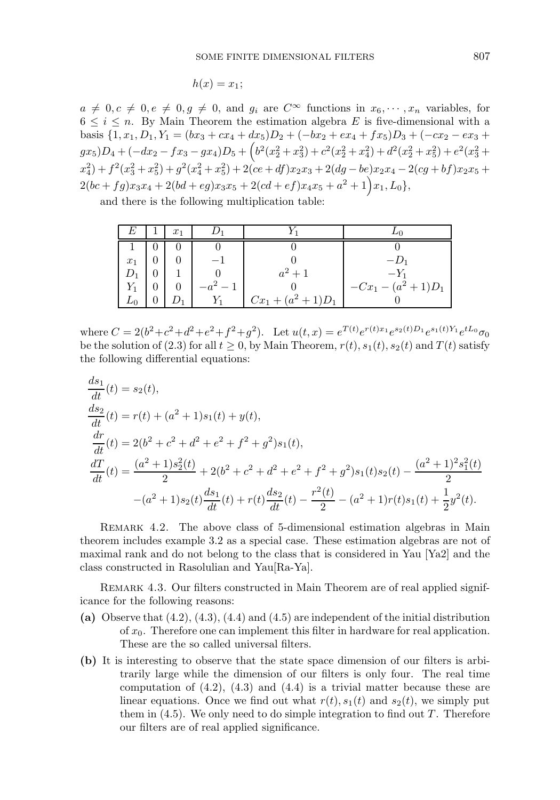$$
h(x)=x_1;
$$

 $a \neq 0, c \neq 0, e \neq 0, g \neq 0$ , and  $g_i$  are  $C^{\infty}$  functions in  $x_6, \dots, x_n$  variables, for  $6 \leq i \leq n$ . By Main Theorem the estimation algebra E is five-dimensional with a basis  $\{1, x_1, D_1, Y_1 = (bx_3 + cx_4 + dx_5)D_2 + (-bx_2 + ex_4 + fx_5)D_3 + (-cx_2 - ex_3 +$  $gx_5$ ) $D_4 + (-dx_2 - fx_3 - gx_4)D_5 + (b^2(x_2^2 + x_3^2) + c^2(x_2^2 + x_4^2) + d^2(x_2^2 + x_5^2) + e^2(x_3^2 + x_4^2)$  $x_4^2$  +  $f^2(x_3^2+x_5^2)$  +  $g^2(x_4^2+x_5^2)$  +  $2(ce+df)x_2x_3$  +  $2(dg-be)x_2x_4 - 2(cg+bf)x_2x_5$  +  $2(bc+fg)x_3x_4+2(bd+eg)x_3x_5+2(cd+ef)x_4x_5+a^2+1\big)x_1, L_0\},$ 

and there is the following multiplication table:

|       | $x_1$ |                       |                    |
|-------|-------|-----------------------|--------------------|
|       |       |                       |                    |
| $x_1$ |       |                       | $-1)$ <sup>1</sup> |
|       |       | $a^2 + 1$             | $-Y_1$             |
|       |       |                       | $-Cx_1-(a^2+1)D_1$ |
| $L_0$ |       | $Cx_1 + (a^2 + 1)D_1$ |                    |

where  $C = 2(b^2+c^2+d^2+e^2+f^2+g^2)$ . Let  $u(t,x) = e^{T(t)}e^{r(t)x_1}e^{s_2(t)D_1}e^{s_1(t)Y_1}e^{tL_0}\sigma_0$ be the solution of (2.3) for all  $t \geq 0$ , by Main Theorem,  $r(t)$ ,  $s_1(t)$ ,  $s_2(t)$  and  $T(t)$  satisfy the following differential equations:

$$
\frac{ds_1}{dt}(t) = s_2(t),
$$
\n
$$
\frac{ds_2}{dt}(t) = r(t) + (a^2 + 1)s_1(t) + y(t),
$$
\n
$$
\frac{dr}{dt}(t) = 2(b^2 + c^2 + d^2 + e^2 + f^2 + g^2)s_1(t),
$$
\n
$$
\frac{dT}{dt}(t) = \frac{(a^2 + 1)s_2^2(t)}{2} + 2(b^2 + c^2 + d^2 + e^2 + f^2 + g^2)s_1(t)s_2(t) - \frac{(a^2 + 1)^2s_1^2(t)}{2}
$$
\n
$$
-(a^2 + 1)s_2(t)\frac{ds_1}{dt}(t) + r(t)\frac{ds_2}{dt}(t) - \frac{r^2(t)}{2} - (a^2 + 1)r(t)s_1(t) + \frac{1}{2}y^2(t).
$$

REMARK 4.2. The above class of 5-dimensional estimation algebras in Main theorem includes example 3.2 as a special case. These estimation algebras are not of maximal rank and do not belong to the class that is considered in Yau [Ya2] and the class constructed in Rasolulian and Yau[Ra-Ya].

REMARK 4.3. Our filters constructed in Main Theorem are of real applied significance for the following reasons:

- (a) Observe that  $(4.2)$ ,  $(4.3)$ ,  $(4.4)$  and  $(4.5)$  are independent of the initial distribution of  $x_0$ . Therefore one can implement this filter in hardware for real application. These are the so called universal filters.
- (b) It is interesting to observe that the state space dimension of our filters is arbitrarily large while the dimension of our filters is only four. The real time computation of  $(4.2)$ ,  $(4.3)$  and  $(4.4)$  is a trivial matter because these are linear equations. Once we find out what  $r(t)$ ,  $s_1(t)$  and  $s_2(t)$ , we simply put them in  $(4.5)$ . We only need to do simple integration to find out T. Therefore our filters are of real applied significance.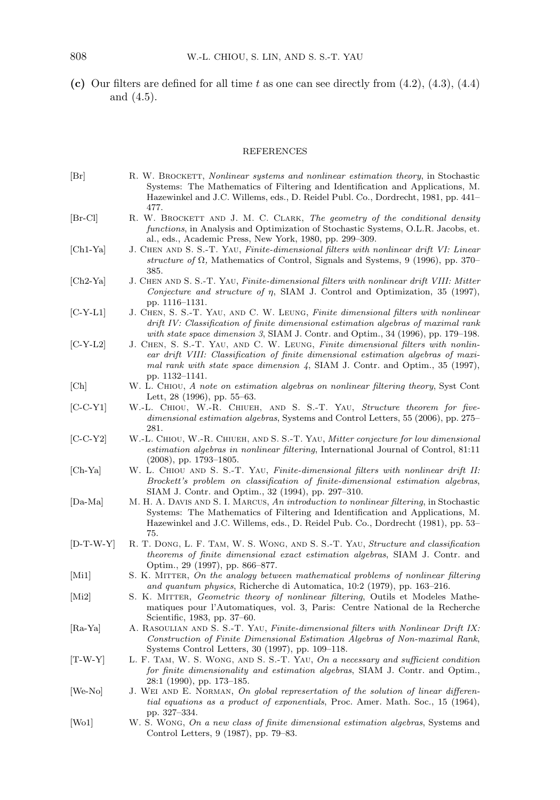(c) Our filters are defined for all time t as one can see directly from  $(4.2)$ ,  $(4.3)$ ,  $(4.4)$ and (4.5).

## REFERENCES

| Br                        | R. W. BROCKETT, Nonlinear systems and nonlinear estimation theory, in Stochastic<br>Systems: The Mathematics of Filtering and Identification and Applications, M.<br>Hazewinkel and J.C. Willems, eds., D. Reidel Publ. Co., Dordrecht, 1981, pp. 441-                              |
|---------------------------|-------------------------------------------------------------------------------------------------------------------------------------------------------------------------------------------------------------------------------------------------------------------------------------|
| $ Br-Cl $                 | 477.<br>R. W. BROCKETT AND J. M. C. CLARK, The geometry of the conditional density<br>functions, in Analysis and Optimization of Stochastic Systems, O.L.R. Jacobs, et.<br>al., eds., Academic Press, New York, 1980, pp. 299–309.                                                  |
| $ Ch1-Ya $                | J. CHEN AND S. S.-T. YAU, Finite-dimensional filters with nonlinear drift VI: Linear<br>structure of $\Omega$ , Mathematics of Control, Signals and Systems, 9 (1996), pp. 370–<br>385.                                                                                             |
| $[Ch2-Ya]$                | J. CHEN AND S. S.-T. YAU, Finite-dimensional filters with nonlinear drift VIII: Mitter<br>Conjecture and structure of $\eta$ , SIAM J. Control and Optimization, 35 (1997),<br>pp. 1116–1131.                                                                                       |
| $[C-Y-L1]$                | J. CHEN, S. S.-T. YAU, AND C. W. LEUNG, Finite dimensional filters with nonlinear<br>drift IV: Classification of finite dimensional estimation algebras of maximal rank<br>with state space dimension 3, SIAM J. Contr. and Optim., 34 (1996), pp. 179–198.                         |
| $ C-Y-L2 $                | J. CHEN, S. S.-T. YAU, AND C. W. LEUNG, Finite dimensional filters with nonlin-<br>ear drift VIII: Classification of finite dimensional estimation algebras of maxi-<br>mal rank with state space dimension $\frac{1}{4}$ , SIAM J. Contr. and Optim., 35 (1997),<br>pp. 1132-1141. |
| Ch                        | W. L. CHIOU, A note on estimation algebras on nonlinear filtering theory, Syst Cont<br>Lett, $28$ (1996), pp. 55–63.                                                                                                                                                                |
| $[C-C-Y1]$                | W.-L. CHIOU, W.-R. CHIUEH, AND S. S.-T. YAU, Structure theorem for five-<br>dimensional estimation algebras, Systems and Control Letters, 55 (2006), pp. 275–<br>281.                                                                                                               |
| $[C-C-Y2]$                | W.-L. CHIOU, W.-R. CHIUEH, AND S. S.-T. YAU, Mitter conjecture for low dimensional<br>estimation algebras in nonlinear filtering, International Journal of Control, 81:11<br>$(2008)$ , pp. 1793–1805.                                                                              |
| $[Ch-Ya]$                 | W. L. CHIOU AND S. S.-T. YAU, Finite-dimensional filters with nonlinear drift II:<br>Brockett's problem on classification of finite-dimensional estimation algebras,<br>SIAM J. Contr. and Optim., 32 (1994), pp. 297–310.                                                          |
| $ Da-Ma $                 | M. H. A. DAVIS AND S. I. MARCUS, An introduction to nonlinear filtering, in Stochastic<br>Systems: The Mathematics of Filtering and Identification and Applications, M.<br>Hazewinkel and J.C. Willems, eds., D. Reidel Pub. Co., Dordrecht (1981), pp. 53–<br>75.                  |
| $[D-T-W-Y]$               | R. T. DONG, L. F. TAM, W. S. WONG, AND S. S.-T. YAU, Structure and classification<br><i>theorems of finite dimensional exact estimation algebras</i> , SIAM J. Contr. and<br>Optim., 29 (1997), pp. 866–877.                                                                        |
| Mi1                       | S. K. MITTER, On the analogy between mathematical problems of nonlinear filtering<br>and quantum physics, Richerche di Automatica, 10:2 (1979), pp. 163–216.                                                                                                                        |
| $\left[\text{Mi2}\right]$ | S. K. MITTER, <i>Geometric theory of nonlinear filtering</i> , Outils et Modeles Mathe-<br>matiques pour l'Automatiques, vol. 3, Paris: Centre National de la Recherche<br>Scientific, 1983, pp. 37–60.                                                                             |
| $ Ra-Ya $                 | A. RASOULIAN AND S. S.-T. YAU, Finite-dimensional filters with Nonlinear Drift IX:<br>Construction of Finite Dimensional Estimation Algebras of Non-maximal Rank,<br>Systems Control Letters, 30 (1997), pp. 109–118.                                                               |
| $[T-W-Y]$                 | L. F. TAM, W. S. WONG, AND S. S.-T. YAU, On a necessary and sufficient condition<br>for finite dimensionality and estimation algebras, SIAM J. Contr. and Optim.,<br>$28:1$ (1990), pp. 173–185.                                                                                    |
| [We-No]                   | J. WEI AND E. NORMAN, On global represertation of the solution of linear differen-<br>tial equations as a product of exponentials, Proc. Amer. Math. Soc., 15 (1964),<br>pp. 327–334.                                                                                               |
| W <sub>01</sub>           | W. S. Wong, On a new class of finite dimensional estimation algebras, Systems and<br>Control Letters, 9 (1987), pp. 79–83.                                                                                                                                                          |